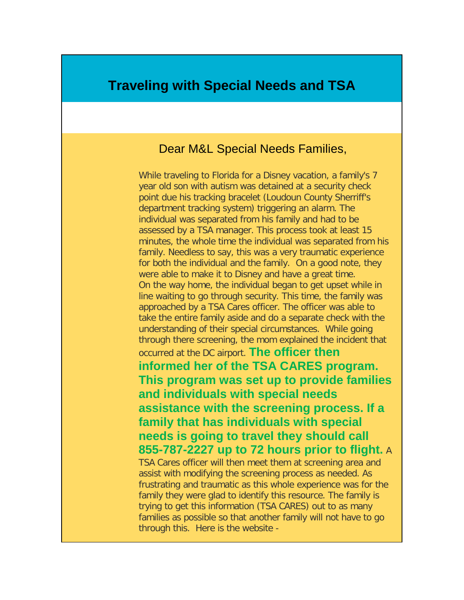## **Traveling with Special Needs and TSA**

## Dear M&L Special Needs Families,

While traveling to Florida for a Disney vacation, a family's 7 year old son with autism was detained at a security check point due his tracking bracelet (Loudoun County Sherriff's department tracking system) triggering an alarm. The individual was separated from his family and had to be assessed by a TSA manager. This process took at least 15 minutes, the whole time the individual was separated from his family. Needless to say, this was a very traumatic experience for both the individual and the family. On a good note, they were able to make it to Disney and have a great time. On the way home, the individual began to get upset while in line waiting to go through security. This time, the family was approached by a TSA Cares officer. The officer was able to take the entire family aside and do a separate check with the understanding of their special circumstances. While going through there screening, the mom explained the incident that occurred at the DC airport. **The officer then informed her of the TSA CARES program. This program was set up to provide families and individuals with special needs assistance with the screening process. If a family that has individuals with special needs is going to travel they should call 855-787-2227 up to 72 hours prior to flight.** A TSA Cares officer will then meet them at screening area and assist with modifying the screening process as needed. As frustrating and traumatic as this whole experience was for the family they were glad to identify this resource. The family is trying to get this information (TSA CARES) out to as many

families as possible so that another family will not have to go

through this. Here is the website -